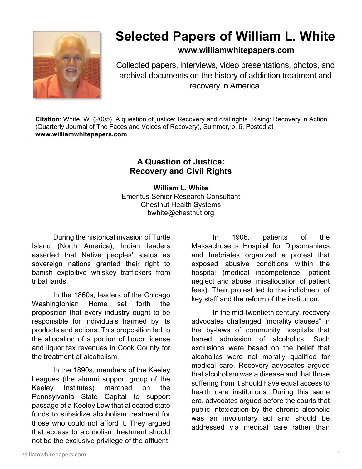

## **Selected Papers of William L. White**

**www.williamwhitepapers.com**

Collected papers, interviews, video presentations, photos, and archival documents on the history of addiction treatment and recovery in America.

**Citation**: White, W. (2005). A question of justice: Recovery and civil rights. Rising: Recovery in Action (Quarterly Journal of The Faces and Voices of Recovery), Summer, p. 6. Posted at **www.williamwhitepapers.com** 

## **A Question of Justice: Recovery and Civil Rights**

**William L. White**  Emeritus Senior Research Consultant Chestnut Health Systems bwhite@chestnut.org

During the historical invasion of Turtle Island (North America), Indian leaders asserted that Native peoples' status as sovereign nations granted their right to banish exploitive whiskey traffickers from tribal lands.

In the 1860s, leaders of the Chicago Washingtonian Home set forth the proposition that every industry ought to be responsible for individuals harmed by its products and actions. This proposition led to the allocation of a portion of liquor license and liquor tax revenues in Cook County for the treatment of alcoholism.

In the 1890s, members of the Keeley Leagues (the alumni support group of the Keeley Institutes) marched on the Pennsylvania State Capital to support passage of a Keeley Law that allocated state funds to subsidize alcoholism treatment for those who could not afford it. They argued that access to alcoholism treatment should not be the exclusive privilege of the affluent.

In 1906, patients of the Massachusetts Hospital for Dipsomaniacs and Inebriates organized a protest that exposed abusive conditions within the hospital (medical incompetence, patient neglect and abuse, misallocation of patient fees). Their protest led to the indictment of key staff and the reform of the institution.

In the mid-twentieth century, recovery advocates challenged "morality clauses" in the by-laws of community hospitals that barred admission of alcoholics. Such exclusions were based on the belief that alcoholics were not morally qualified for medical care. Recovery advocates argued that alcoholism was a disease and that those suffering from it should have equal access to health care institutions. During this same era, advocates argued before the courts that public intoxication by the chronic alcoholic was an involuntary act and should be addressed via medical care rather than